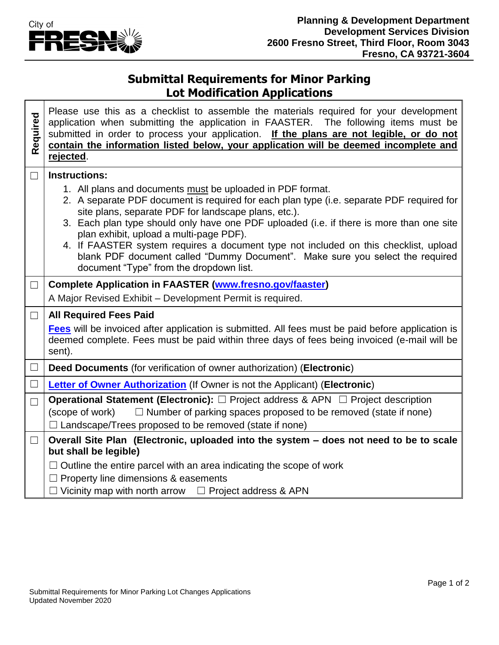

┓

## **Submittal Requirements for Minor Parking Lot Modification Applications**

| Required | Please use this as a checklist to assemble the materials required for your development<br>application when submitting the application in FAASTER. The following items must be<br>submitted in order to process your application. If the plans are not legible, or do not<br>contain the information listed below, your application will be deemed incomplete and<br>rejected.                                                                                                                                                                                              |  |  |
|----------|----------------------------------------------------------------------------------------------------------------------------------------------------------------------------------------------------------------------------------------------------------------------------------------------------------------------------------------------------------------------------------------------------------------------------------------------------------------------------------------------------------------------------------------------------------------------------|--|--|
| $\Box$   | <b>Instructions:</b>                                                                                                                                                                                                                                                                                                                                                                                                                                                                                                                                                       |  |  |
|          | 1. All plans and documents must be uploaded in PDF format.<br>2. A separate PDF document is required for each plan type (i.e. separate PDF required for<br>site plans, separate PDF for landscape plans, etc.).<br>3. Each plan type should only have one PDF uploaded (i.e. if there is more than one site<br>plan exhibit, upload a multi-page PDF).<br>4. If FAASTER system requires a document type not included on this checklist, upload<br>blank PDF document called "Dummy Document". Make sure you select the required<br>document "Type" from the dropdown list. |  |  |
| $\Box$   | <b>Complete Application in FAASTER (www.fresno.gov/faaster)</b>                                                                                                                                                                                                                                                                                                                                                                                                                                                                                                            |  |  |
|          | A Major Revised Exhibit - Development Permit is required.                                                                                                                                                                                                                                                                                                                                                                                                                                                                                                                  |  |  |
| $\Box$   | <b>All Required Fees Paid</b>                                                                                                                                                                                                                                                                                                                                                                                                                                                                                                                                              |  |  |
|          | Fees will be invoiced after application is submitted. All fees must be paid before application is<br>deemed complete. Fees must be paid within three days of fees being invoiced (e-mail will be<br>sent).                                                                                                                                                                                                                                                                                                                                                                 |  |  |
| $\Box$   | Deed Documents (for verification of owner authorization) (Electronic)                                                                                                                                                                                                                                                                                                                                                                                                                                                                                                      |  |  |
| $\Box$   | <b>Letter of Owner Authorization</b> (If Owner is not the Applicant) (Electronic)                                                                                                                                                                                                                                                                                                                                                                                                                                                                                          |  |  |
| $\Box$   | <b>Operational Statement (Electronic):</b> □ Project address & APN □ Project description                                                                                                                                                                                                                                                                                                                                                                                                                                                                                   |  |  |
|          | $\Box$ Number of parking spaces proposed to be removed (state if none)<br>(scope of work)<br>$\Box$ Landscape/Trees proposed to be removed (state if none)                                                                                                                                                                                                                                                                                                                                                                                                                 |  |  |
| $\Box$   | Overall Site Plan (Electronic, uploaded into the system - does not need to be to scale<br>but shall be legible)                                                                                                                                                                                                                                                                                                                                                                                                                                                            |  |  |
|          | $\Box$ Outline the entire parcel with an area indicating the scope of work                                                                                                                                                                                                                                                                                                                                                                                                                                                                                                 |  |  |
|          | $\Box$ Property line dimensions & easements<br>$\Box$ Vicinity map with north arrow $\Box$ Project address & APN                                                                                                                                                                                                                                                                                                                                                                                                                                                           |  |  |
|          |                                                                                                                                                                                                                                                                                                                                                                                                                                                                                                                                                                            |  |  |